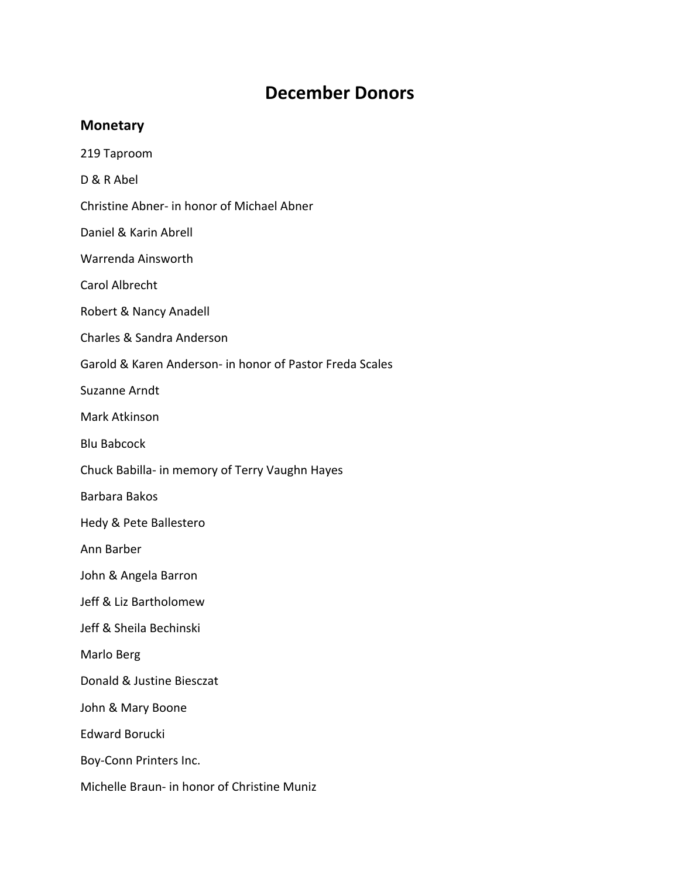## **December Donors**

## **Monetary**

- 219 Taproom
- D & R Abel
- Christine Abner- in honor of Michael Abner
- Daniel & Karin Abrell
- Warrenda Ainsworth
- Carol Albrecht
- Robert & Nancy Anadell
- Charles & Sandra Anderson
- Garold & Karen Anderson- in honor of Pastor Freda Scales
- Suzanne Arndt
- Mark Atkinson
- Blu Babcock
- Chuck Babilla- in memory of Terry Vaughn Hayes
- Barbara Bakos
- Hedy & Pete Ballestero
- Ann Barber
- John & Angela Barron
- Jeff & Liz Bartholomew
- Jeff & Sheila Bechinski
- Marlo Berg
- Donald & Justine Biesczat
- John & Mary Boone
- Edward Borucki
- Boy-Conn Printers Inc.
- Michelle Braun- in honor of Christine Muniz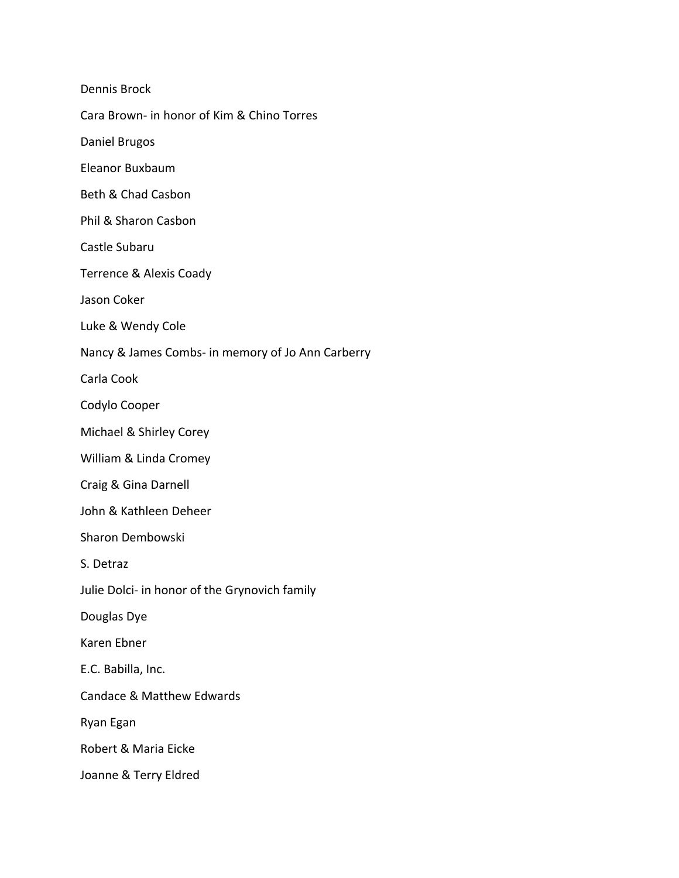Dennis Brock Cara Brown- in honor of Kim & Chino Torres Daniel Brugos Eleanor Buxbaum Beth & Chad Casbon Phil & Sharon Casbon Castle Subaru Terrence & Alexis Coady Jason Coker Luke & Wendy Cole Nancy & James Combs- in memory of Jo Ann Carberry Carla Cook Codylo Cooper Michael & Shirley Corey William & Linda Cromey Craig & Gina Darnell John & Kathleen Deheer Sharon Dembowski S. Detraz Julie Dolci- in honor of the Grynovich family Douglas Dye Karen Ebner E.C. Babilla, Inc. Candace & Matthew Edwards Ryan Egan Robert & Maria Eicke Joanne & Terry Eldred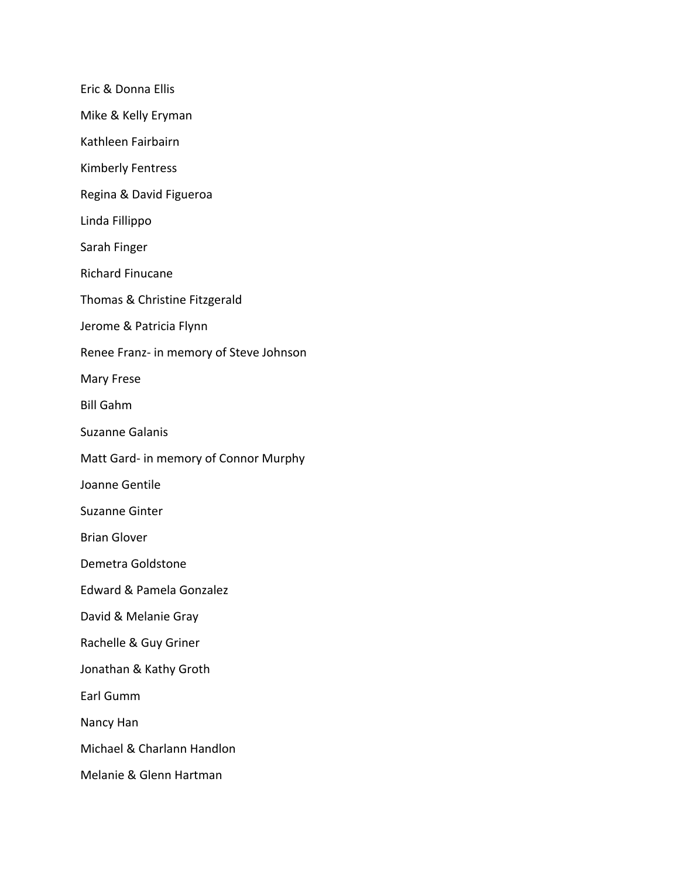Eric & Donna Ellis Mike & Kelly Eryman Kathleen Fairbairn Kimberly Fentress Regina & David Figueroa Linda Fillippo Sarah Finger Richard Finucane Thomas & Christine Fitzgerald Jerome & Patricia Flynn Renee Franz- in memory of Steve Johnson Mary Frese Bill Gahm Suzanne Galanis Matt Gard- in memory of Connor Murphy Joanne Gentile Suzanne Ginter Brian Glover Demetra Goldstone Edward & Pamela Gonzalez David & Melanie Gray Rachelle & Guy Griner Jonathan & Kathy Groth Earl Gumm Nancy Han Michael & Charlann Handlon Melanie & Glenn Hartman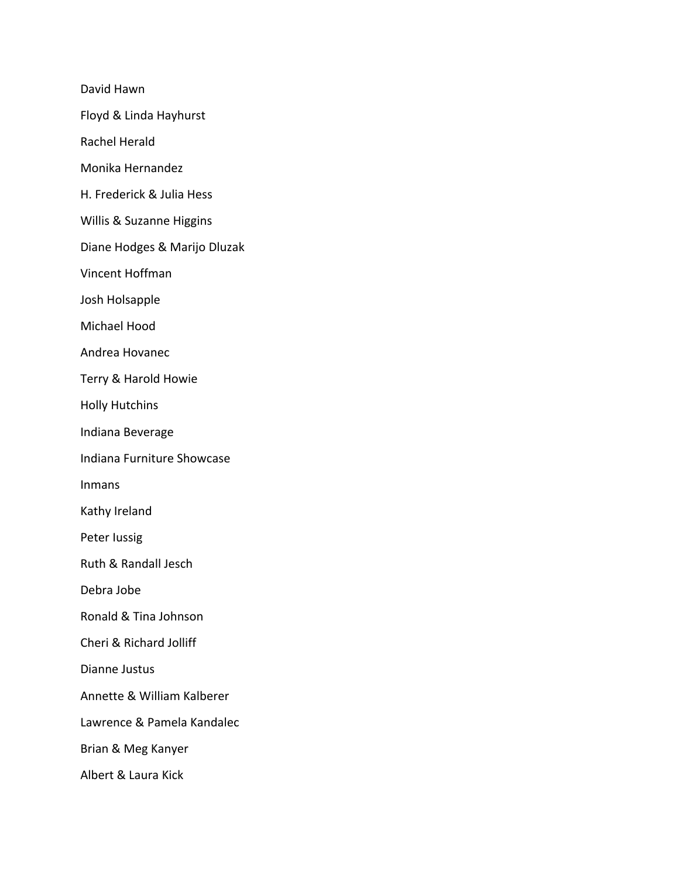David Hawn

Floyd & Linda Hayhurst

Rachel Herald

Monika Hernandez

H. Frederick & Julia Hess

Willis & Suzanne Higgins

Diane Hodges & Marijo Dluzak

Vincent Hoffman

Josh Holsapple

Michael Hood

Andrea Hovanec

Terry & Harold Howie

Holly Hutchins

Indiana Beverage

Indiana Furniture Showcase

Inmans

Kathy Ireland

Peter Iussig

Ruth & Randall Jesch

Debra Jobe

Ronald & Tina Johnson

Cheri & Richard Jolliff

Dianne Justus

Annette & William Kalberer

Lawrence & Pamela Kandalec

Brian & Meg Kanyer

Albert & Laura Kick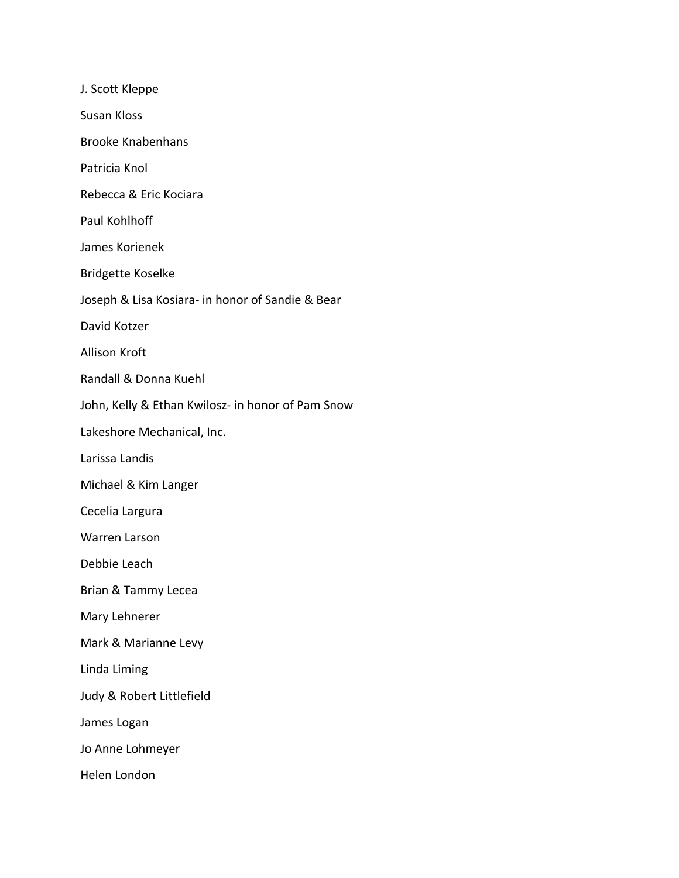J. Scott Kleppe Susan Kloss Brooke Knabenhans Patricia Knol Rebecca & Eric Kociara Paul Kohlhoff James Korienek Bridgette Koselke Joseph & Lisa Kosiara- in honor of Sandie & Bear David Kotzer Allison Kroft Randall & Donna Kuehl John, Kelly & Ethan Kwilosz- in honor of Pam Snow Lakeshore Mechanical, Inc. Larissa Landis Michael & Kim Langer Cecelia Largura Warren Larson Debbie Leach Brian & Tammy Lecea Mary Lehnerer Mark & Marianne Levy Linda Liming Judy & Robert Littlefield James Logan Jo Anne Lohmeyer Helen London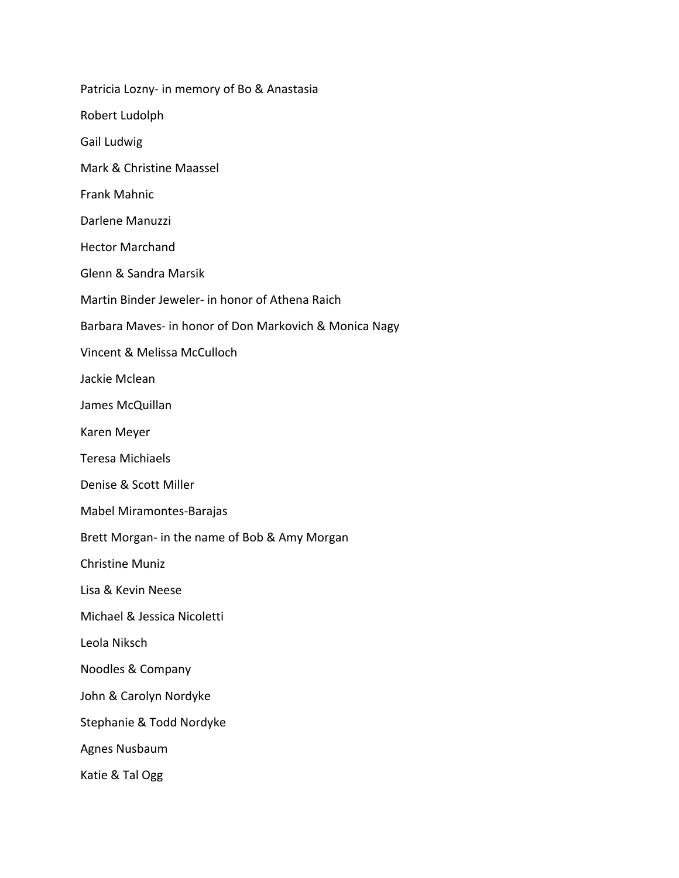Patricia Lozny- in memory of Bo & Anastasia Robert Ludolph Gail Ludwig Mark & Christine Maassel Frank Mahnic Darlene Manuzzi Hector Marchand Glenn & Sandra Marsik Martin Binder Jeweler- in honor of Athena Raich Barbara Maves- in honor of Don Markovich & Monica Nagy Vincent & Melissa McCulloch Jackie Mclean James McQuillan Karen Meyer Teresa Michiaels Denise & Scott Miller Mabel Miramontes-Barajas Brett Morgan- in the name of Bob & Amy Morgan Christine Muniz Lisa & Kevin Neese Michael & Jessica Nicoletti Leola Niksch Noodles & Company John & Carolyn Nordyke Stephanie & Todd Nordyke Agnes Nusbaum Katie & Tal Ogg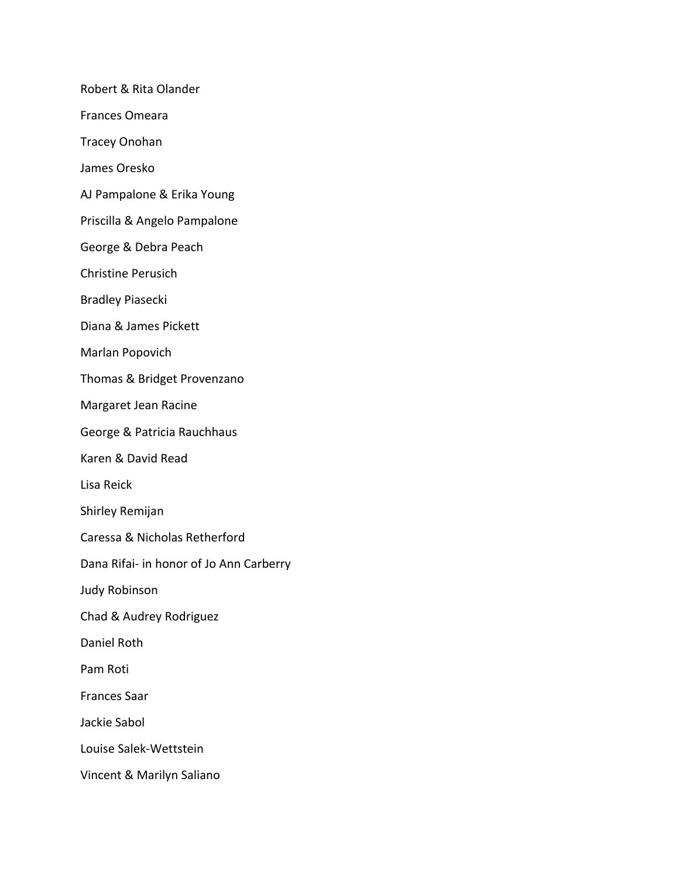Robert & Rita Olander

Frances Omeara

Tracey Onohan

James Oresko

AJ Pampalone & Erika Young

Priscilla & Angelo Pampalone

George & Debra Peach

Christine Perusich

Bradley Piasecki

Diana & James Pickett

Marlan Popovich

Thomas & Bridget Provenzano

Margaret Jean Racine

George & Patricia Rauchhaus

Karen & David Read

Lisa Reick

Shirley Remijan

Caressa & Nicholas Retherford

Dana Rifai- in honor of Jo Ann Carberry

Judy Robinson

Chad & Audrey Rodriguez

Daniel Roth

Pam Roti

Frances Saar

Jackie Sabol

Louise Salek-Wettstein

Vincent & Marilyn Saliano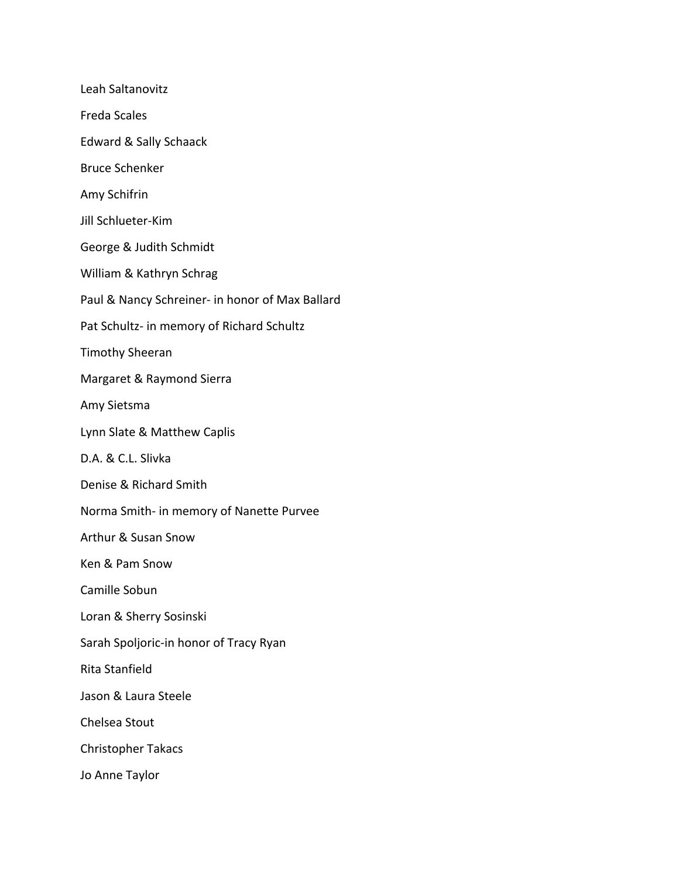Leah Saltanovitz Freda Scales Edward & Sally Schaack Bruce Schenker Amy Schifrin Jill Schlueter-Kim George & Judith Schmidt William & Kathryn Schrag Paul & Nancy Schreiner- in honor of Max Ballard Pat Schultz- in memory of Richard Schultz Timothy Sheeran Margaret & Raymond Sierra Amy Sietsma Lynn Slate & Matthew Caplis D.A. & C.L. Slivka Denise & Richard Smith Norma Smith- in memory of Nanette Purvee Arthur & Susan Snow Ken & Pam Snow Camille Sobun Loran & Sherry Sosinski Sarah Spoljoric-in honor of Tracy Ryan Rita Stanfield Jason & Laura Steele Chelsea Stout Christopher Takacs Jo Anne Taylor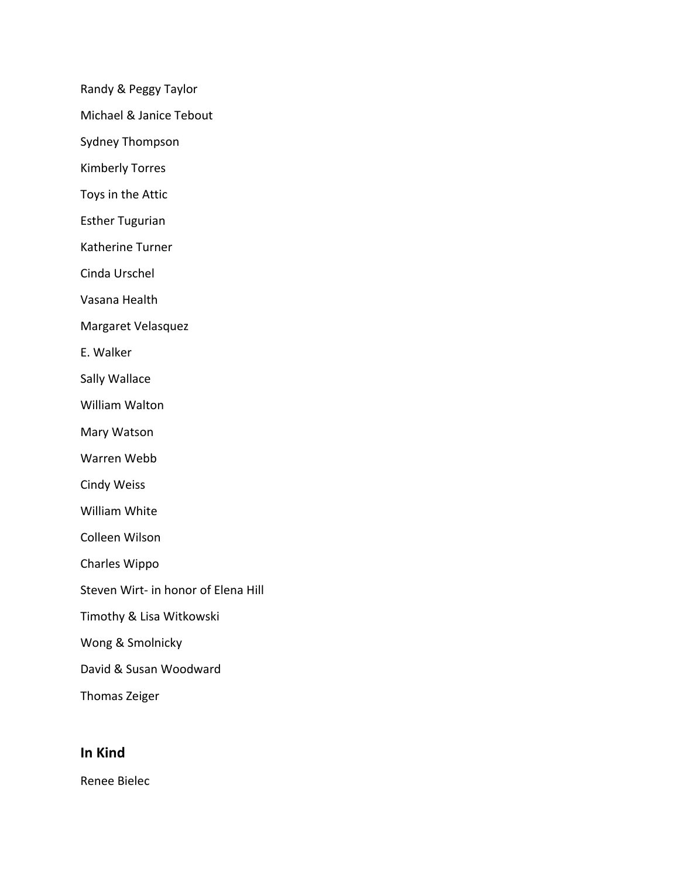Randy & Peggy Taylor

Michael & Janice Tebout

Sydney Thompson

Kimberly Torres

Toys in the Attic

Esther Tugurian

Katherine Turner

Cinda Urschel

Vasana Health

Margaret Velasquez

E. Walker

Sally Wallace

William Walton

Mary Watson

Warren Webb

Cindy Weiss

William White

Colleen Wilson

Charles Wippo

- Steven Wirt- in honor of Elena Hill
- Timothy & Lisa Witkowski
- Wong & Smolnicky

David & Susan Woodward

Thomas Zeiger

## **In Kind**

Renee Bielec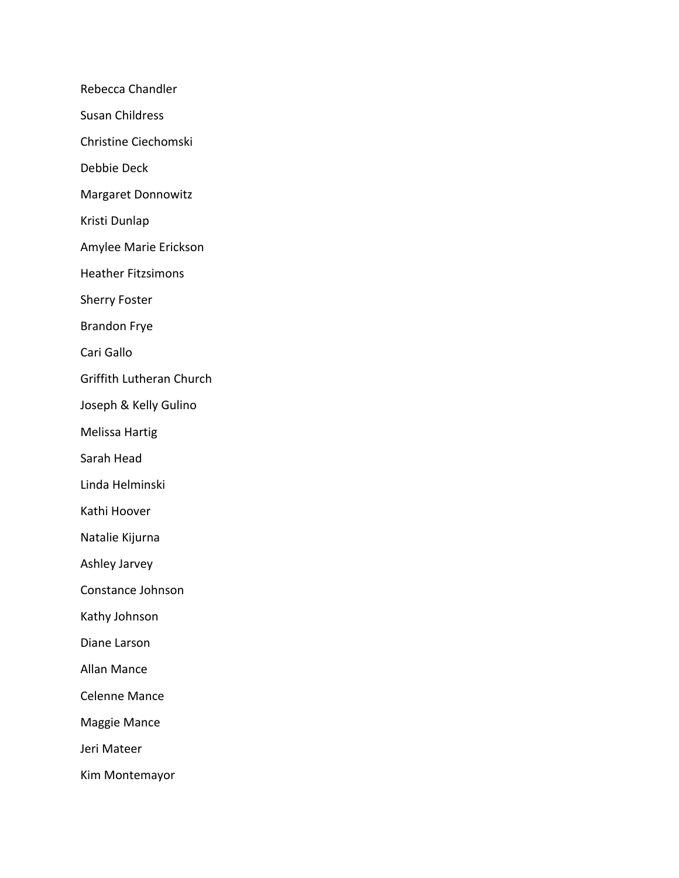Rebecca Chandler

Susan Childress

Christine Ciechomski

Debbie Deck

Margaret Donnowitz

Kristi Dunlap

Amylee Marie Erickson

Heather Fitzsimons

Sherry Foster

Brandon Frye

Cari Gallo

Griffith Lutheran Church

Joseph & Kelly Gulino

Melissa Hartig

Sarah Head

Linda Helminski

Kathi Hoover

Natalie Kijurna

Ashley Jarvey

Constance Johnson

Kathy Johnson

Diane Larson

Allan Mance

Celenne Mance

Maggie Mance

Jeri Mateer

Kim Montemayor